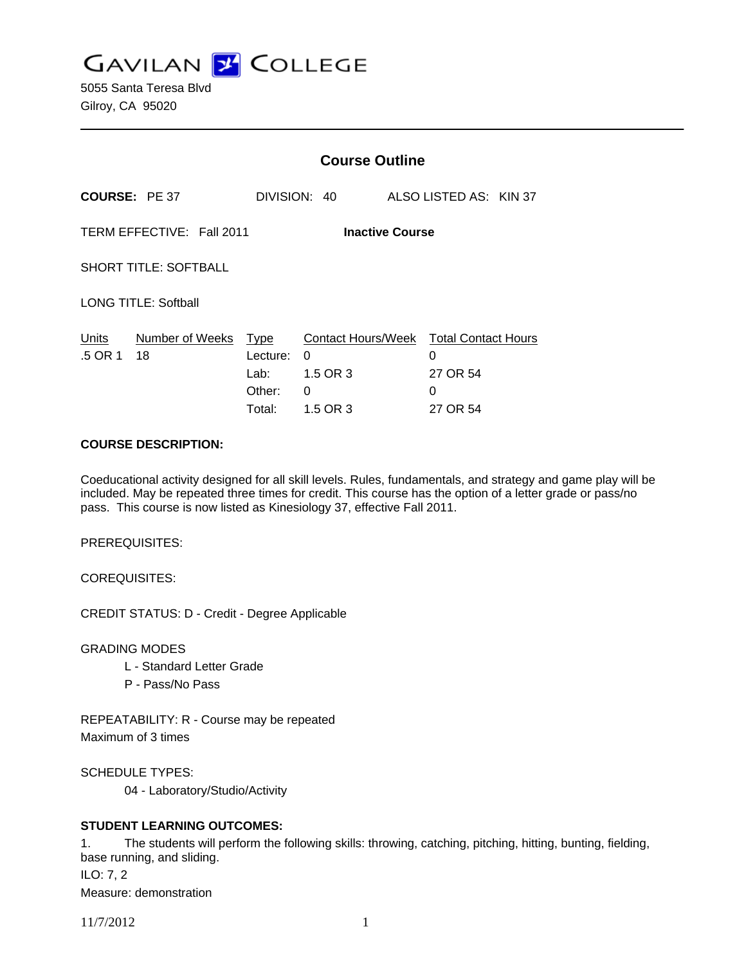**GAVILAN Z COLLEGE** 

5055 Santa Teresa Blvd Gilroy, CA 95020

|                                                     |                       | <b>Course Outline</b>                        |                                                      |  |                                                              |  |  |
|-----------------------------------------------------|-----------------------|----------------------------------------------|------------------------------------------------------|--|--------------------------------------------------------------|--|--|
| <b>COURSE: PE 37</b>                                |                       |                                              | DIVISION: 40                                         |  | ALSO LISTED AS: KIN 37                                       |  |  |
| TERM EFFECTIVE: Fall 2011<br><b>Inactive Course</b> |                       |                                              |                                                      |  |                                                              |  |  |
| <b>SHORT TITLE: SOFTBALL</b>                        |                       |                                              |                                                      |  |                                                              |  |  |
| LONG TITLE: Softball                                |                       |                                              |                                                      |  |                                                              |  |  |
| Units<br>.5 OR 1                                    | Number of Weeks<br>18 | Type<br>Lecture:<br>Lab:<br>Other:<br>Total: | Contact Hours/Week<br>0<br>1.5 OR 3<br>0<br>1.5 OR 3 |  | <b>Total Contact Hours</b><br>0<br>27 OR 54<br>0<br>27 OR 54 |  |  |

#### **COURSE DESCRIPTION:**

Coeducational activity designed for all skill levels. Rules, fundamentals, and strategy and game play will be included. May be repeated three times for credit. This course has the option of a letter grade or pass/no pass. This course is now listed as Kinesiology 37, effective Fall 2011.

PREREQUISITES:

COREQUISITES:

CREDIT STATUS: D - Credit - Degree Applicable

GRADING MODES

- L Standard Letter Grade
- P Pass/No Pass

REPEATABILITY: R - Course may be repeated Maximum of 3 times

SCHEDULE TYPES:

04 - Laboratory/Studio/Activity

## **STUDENT LEARNING OUTCOMES:**

1. The students will perform the following skills: throwing, catching, pitching, hitting, bunting, fielding, base running, and sliding. ILO: 7, 2 Measure: demonstration

11/7/2012 1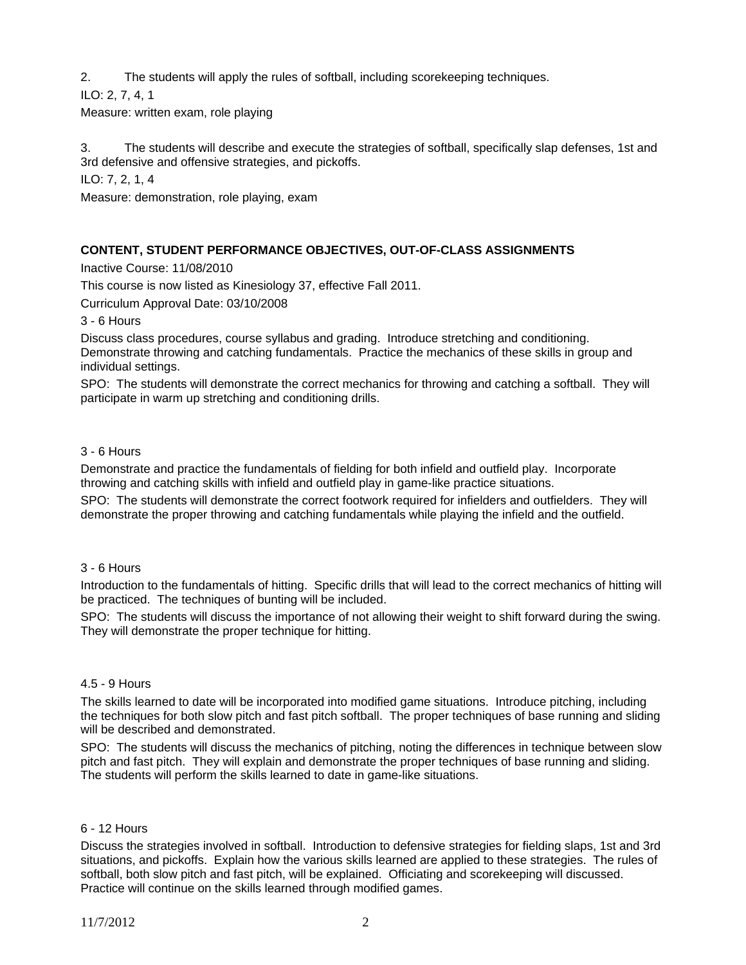2. The students will apply the rules of softball, including scorekeeping techniques.

ILO: 2, 7, 4, 1 Measure: written exam, role playing

3. The students will describe and execute the strategies of softball, specifically slap defenses, 1st and 3rd defensive and offensive strategies, and pickoffs.

ILO: 7, 2, 1, 4

Measure: demonstration, role playing, exam

## **CONTENT, STUDENT PERFORMANCE OBJECTIVES, OUT-OF-CLASS ASSIGNMENTS**

Inactive Course: 11/08/2010

This course is now listed as Kinesiology 37, effective Fall 2011.

Curriculum Approval Date: 03/10/2008

3 - 6 Hours

Discuss class procedures, course syllabus and grading. Introduce stretching and conditioning. Demonstrate throwing and catching fundamentals. Practice the mechanics of these skills in group and individual settings.

SPO: The students will demonstrate the correct mechanics for throwing and catching a softball. They will participate in warm up stretching and conditioning drills.

### 3 - 6 Hours

Demonstrate and practice the fundamentals of fielding for both infield and outfield play. Incorporate throwing and catching skills with infield and outfield play in game-like practice situations.

SPO: The students will demonstrate the correct footwork required for infielders and outfielders. They will demonstrate the proper throwing and catching fundamentals while playing the infield and the outfield.

#### 3 - 6 Hours

Introduction to the fundamentals of hitting. Specific drills that will lead to the correct mechanics of hitting will be practiced. The techniques of bunting will be included.

SPO: The students will discuss the importance of not allowing their weight to shift forward during the swing. They will demonstrate the proper technique for hitting.

#### 4.5 - 9 Hours

The skills learned to date will be incorporated into modified game situations. Introduce pitching, including the techniques for both slow pitch and fast pitch softball. The proper techniques of base running and sliding will be described and demonstrated.

SPO: The students will discuss the mechanics of pitching, noting the differences in technique between slow pitch and fast pitch. They will explain and demonstrate the proper techniques of base running and sliding. The students will perform the skills learned to date in game-like situations.

#### 6 - 12 Hours

Discuss the strategies involved in softball. Introduction to defensive strategies for fielding slaps, 1st and 3rd situations, and pickoffs. Explain how the various skills learned are applied to these strategies. The rules of softball, both slow pitch and fast pitch, will be explained. Officiating and scorekeeping will discussed. Practice will continue on the skills learned through modified games.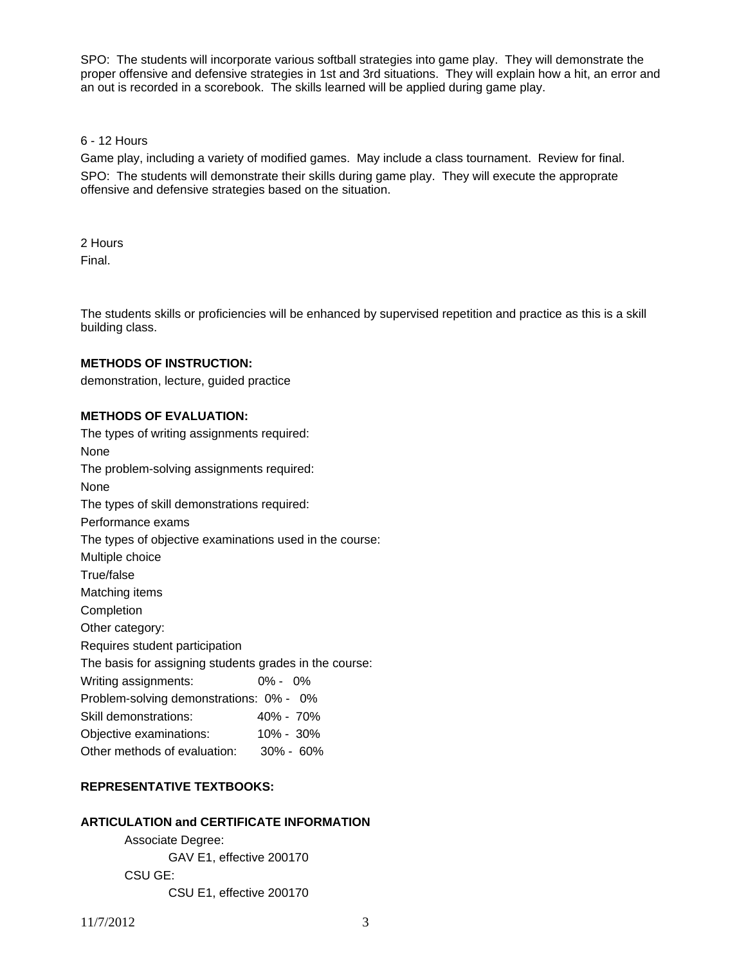SPO: The students will incorporate various softball strategies into game play. They will demonstrate the proper offensive and defensive strategies in 1st and 3rd situations. They will explain how a hit, an error and an out is recorded in a scorebook. The skills learned will be applied during game play.

# 6 - 12 Hours

Game play, including a variety of modified games. May include a class tournament. Review for final. SPO: The students will demonstrate their skills during game play. They will execute the approprate offensive and defensive strategies based on the situation.

2 Hours Final.

The students skills or proficiencies will be enhanced by supervised repetition and practice as this is a skill building class.

### **METHODS OF INSTRUCTION:**

demonstration, lecture, guided practice

### **METHODS OF EVALUATION:**

| The types of writing assignments required:              |             |  |  |  |  |
|---------------------------------------------------------|-------------|--|--|--|--|
| None                                                    |             |  |  |  |  |
| The problem-solving assignments required:               |             |  |  |  |  |
| None                                                    |             |  |  |  |  |
| The types of skill demonstrations required:             |             |  |  |  |  |
| Performance exams                                       |             |  |  |  |  |
| The types of objective examinations used in the course: |             |  |  |  |  |
| Multiple choice                                         |             |  |  |  |  |
| True/false                                              |             |  |  |  |  |
| Matching items                                          |             |  |  |  |  |
| Completion                                              |             |  |  |  |  |
| Other category:                                         |             |  |  |  |  |
| Requires student participation                          |             |  |  |  |  |
| The basis for assigning students grades in the course:  |             |  |  |  |  |
| Writing assignments:                                    | $0\% - 0\%$ |  |  |  |  |
| Problem-solving demonstrations: 0% - 0%                 |             |  |  |  |  |
| Skill demonstrations:                                   | 40% - 70%   |  |  |  |  |
| Objective examinations:                                 | 10% - 30%   |  |  |  |  |
| Other methods of evaluation: 30% - 60%                  |             |  |  |  |  |

# **REPRESENTATIVE TEXTBOOKS:**

## **ARTICULATION and CERTIFICATE INFORMATION**

 Associate Degree: GAV E1, effective 200170 CSU GE: CSU E1, effective 200170